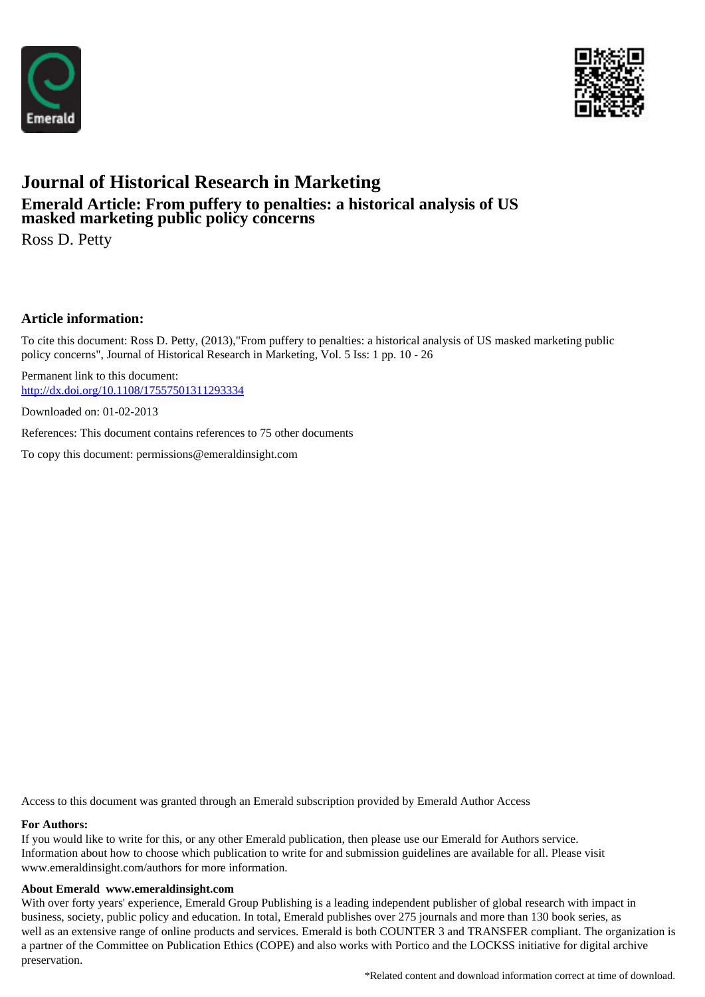



## **Journal of Historical Research in Marketing Emerald Article: From puffery to penalties: a historical analysis of US masked marketing public policy concerns**

Ross D. Petty

## **Article information:**

To cite this document: Ross D. Petty, (2013),"From puffery to penalties: a historical analysis of US masked marketing public policy concerns", Journal of Historical Research in Marketing, Vol. 5 Iss: 1 pp. 10 - 26

Permanent link to this document: http://dx.doi.org/10.1108/17557501311293334

Downloaded on: 01-02-2013

References: This document contains references to 75 other documents

To copy this document: permissions@emeraldinsight.com

Access to this document was granted through an Emerald subscription provided by Emerald Author Access

## **For Authors:**

If you would like to write for this, or any other Emerald publication, then please use our Emerald for Authors service. Information about how to choose which publication to write for and submission guidelines are available for all. Please visit www.emeraldinsight.com/authors for more information.

### **About Emerald www.emeraldinsight.com**

With over forty years' experience, Emerald Group Publishing is a leading independent publisher of global research with impact in business, society, public policy and education. In total, Emerald publishes over 275 journals and more than 130 book series, as well as an extensive range of online products and services. Emerald is both COUNTER 3 and TRANSFER compliant. The organization is a partner of the Committee on Publication Ethics (COPE) and also works with Portico and the LOCKSS initiative for digital archive preservation.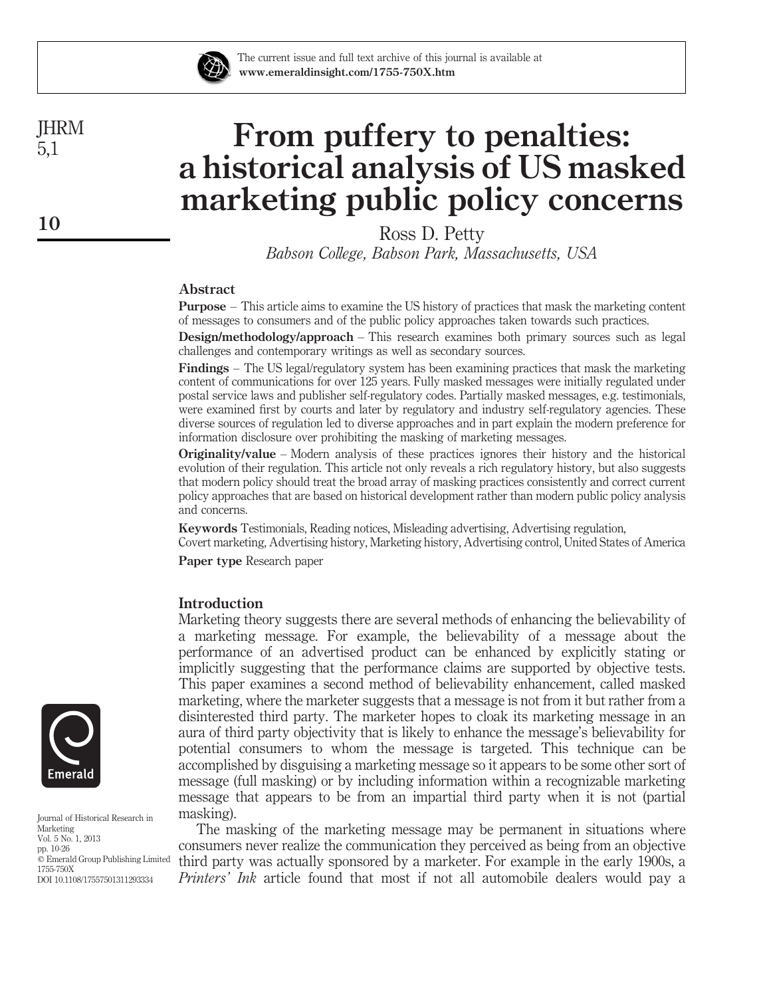

The current issue and full text archive of this journal is available at www.emeraldinsight.com/1755-750X.htm

# From puffery to penalties: a historical analysis of US masked marketing public policy concerns

Ross D. Petty

Babson College, Babson Park, Massachusetts, USA

#### Abstract

Purpose – This article aims to examine the US history of practices that mask the marketing content of messages to consumers and of the public policy approaches taken towards such practices.

Design/methodology/approach – This research examines both primary sources such as legal challenges and contemporary writings as well as secondary sources.

Findings – The US legal/regulatory system has been examining practices that mask the marketing content of communications for over 125 years. Fully masked messages were initially regulated under postal service laws and publisher self-regulatory codes. Partially masked messages, e.g. testimonials, were examined first by courts and later by regulatory and industry self-regulatory agencies. These diverse sources of regulation led to diverse approaches and in part explain the modern preference for information disclosure over prohibiting the masking of marketing messages.

Originality/value – Modern analysis of these practices ignores their history and the historical evolution of their regulation. This article not only reveals a rich regulatory history, but also suggests that modern policy should treat the broad array of masking practices consistently and correct current policy approaches that are based on historical development rather than modern public policy analysis and concerns.

Keywords Testimonials, Reading notices, Misleading advertising, Advertising regulation, Covert marketing, Advertising history, Marketing history, Advertising control, United States of America

Paper type Research paper

#### Introduction

Marketing theory suggests there are several methods of enhancing the believability of a marketing message. For example, the believability of a message about the performance of an advertised product can be enhanced by explicitly stating or implicitly suggesting that the performance claims are supported by objective tests. This paper examines a second method of believability enhancement, called masked marketing, where the marketer suggests that a message is not from it but rather from a disinterested third party. The marketer hopes to cloak its marketing message in an aura of third party objectivity that is likely to enhance the message's believability for potential consumers to whom the message is targeted. This technique can be accomplished by disguising a marketing message so it appears to be some other sort of message (full masking) or by including information within a recognizable marketing message that appears to be from an impartial third party when it is not (partial masking).

The masking of the marketing message may be permanent in situations where consumers never realize the communication they perceived as being from an objective third party was actually sponsored by a marketer. For example in the early 1900s, a Printers' Ink article found that most if not all automobile dealers would pay a



Journal of Historical Research in **Marketing** Vol. 5 No. 1, 2013 pp. 10-26  $\degree$  Emerald Group Publishing Limited 1755-750X DOI 10.1108/17557501311293334

**HRM** 5,1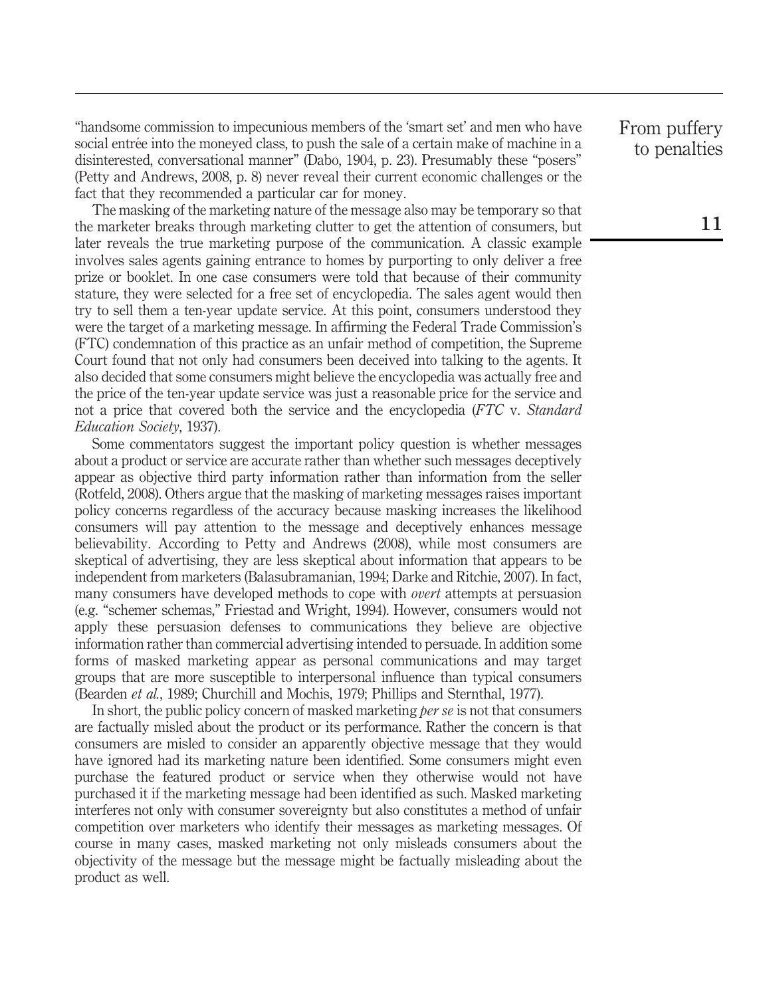"handsome commission to impecunious members of the 'smart set' and men who have From puffery social entrée into the moneyed class, to push the sale of a certain make of machine in a disinterested, conversational manner" (D (Petty and Andrews, 2008, p. 8) never reveal their current economic challenges or the fact that they recommended a particular car for money.

The masking of the marketing nature of the message also may be temporary so that the marketer breaks through marketing clutter to get the attention of consumers, but later reveals the true marketing purpose of the communication. A classic example involves sales agents gaining entrance to homes by purporting to only deliver a free prize or booklet. In one case consumers were told that because of their community stature, they were selected for a free set of encyclopedia. The sales agent would then try to sell them a ten-year update service. At this point, consumers understood they were the target of a marketing message. In affirming the Federal Trade Commission's (FTC) condemnation of this practice as an unfair method of competition, the Supreme Court found that not only had consumers been deceived into talking to the agents. It also decided that some consumers might believe the encyclopedia was actually free and the price of the ten-year update service was just a reasonable price for the service and not a price that covered both the service and the encyclopedia (FTC v. Standard Education Society, 1937).

Some commentators suggest the important policy question is whether messages about a product or service are accurate rather than whether such messages deceptively appear as objective third party information rather than information from the seller (Rotfeld, 2008). Others argue that the masking of marketing messages raises important policy concerns regardless of the accuracy because masking increases the likelihood consumers will pay attention to the message and deceptively enhances message believability. According to Petty and Andrews (2008), while most consumers are skeptical of advertising, they are less skeptical about information that appears to be independent from marketers (Balasubramanian, 1994; Darke and Ritchie, 2007). In fact, many consumers have developed methods to cope with *overt* attempts at persuasion (e.g. "schemer schemas," Friestad and Wright, 1994). However, consumers would not apply these persuasion defenses to communications they believe are objective information rather than commercial advertising intended to persuade. In addition some forms of masked marketing appear as personal communications and may target groups that are more susceptible to interpersonal influence than typical consumers (Bearden et al., 1989; Churchill and Mochis, 1979; Phillips and Sternthal, 1977).

In short, the public policy concern of masked marketing *per se* is not that consumers are factually misled about the product or its performance. Rather the concern is that consumers are misled to consider an apparently objective message that they would have ignored had its marketing nature been identified. Some consumers might even purchase the featured product or service when they otherwise would not have purchased it if the marketing message had been identified as such. Masked marketing interferes not only with consumer sovereignty but also constitutes a method of unfair competition over marketers who identify their messages as marketing messages. Of course in many cases, masked marketing not only misleads consumers about the objectivity of the message but the message might be factually misleading about the product as well.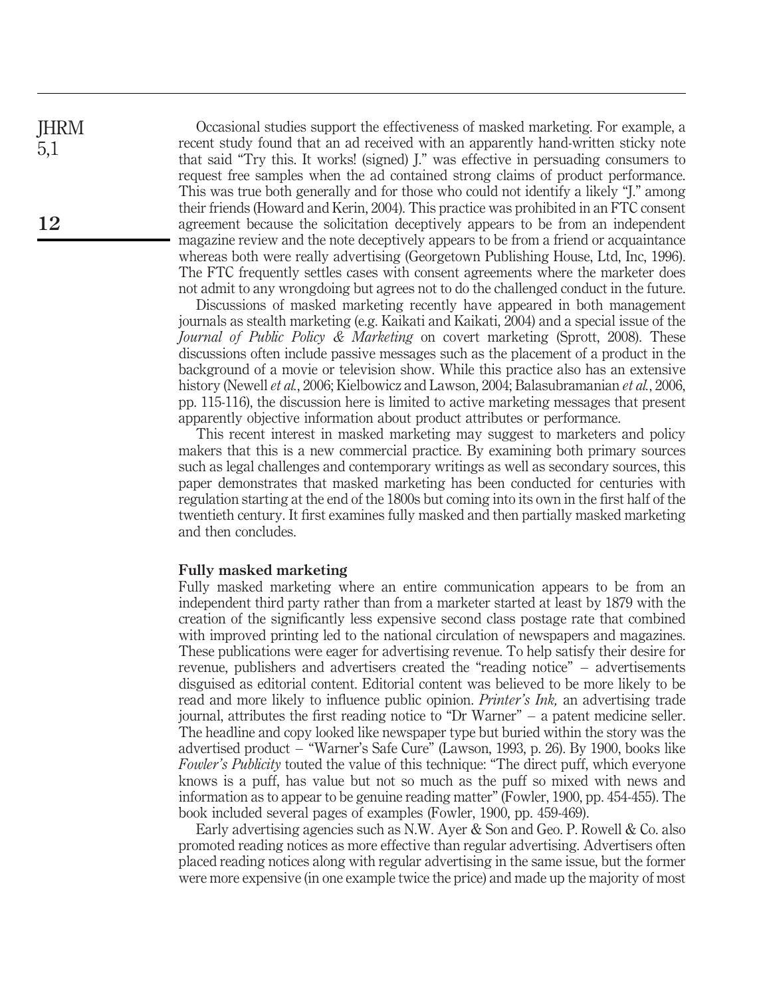Occasional studies support the effectiveness of masked marketing. For example, a recent study found that an ad received with an apparently hand-written sticky note that said "Try this. It works! (signed) J." was effective in persuading consumers to request free samples when the ad contained strong claims of product performance. This was true both generally and for those who could not identify a likely "J." among their friends (Howard and Kerin, 2004). This practice was prohibited in an FTC consent agreement because the solicitation deceptively appears to be from an independent magazine review and the note deceptively appears to be from a friend or acquaintance whereas both were really advertising (Georgetown Publishing House, Ltd, Inc, 1996). The FTC frequently settles cases with consent agreements where the marketer does not admit to any wrongdoing but agrees not to do the challenged conduct in the future.

Discussions of masked marketing recently have appeared in both management journals as stealth marketing (e.g. Kaikati and Kaikati, 2004) and a special issue of the Journal of Public Policy & Marketing on covert marketing (Sprott, 2008). These discussions often include passive messages such as the placement of a product in the background of a movie or television show. While this practice also has an extensive history (Newell et al., 2006; Kielbowicz and Lawson, 2004; Balasubramanian et al., 2006, pp. 115-116), the discussion here is limited to active marketing messages that present apparently objective information about product attributes or performance.

This recent interest in masked marketing may suggest to marketers and policy makers that this is a new commercial practice. By examining both primary sources such as legal challenges and contemporary writings as well as secondary sources, this paper demonstrates that masked marketing has been conducted for centuries with regulation starting at the end of the 1800s but coming into its own in the first half of the twentieth century. It first examines fully masked and then partially masked marketing and then concludes.

#### Fully masked marketing

Fully masked marketing where an entire communication appears to be from an independent third party rather than from a marketer started at least by 1879 with the creation of the significantly less expensive second class postage rate that combined with improved printing led to the national circulation of newspapers and magazines. These publications were eager for advertising revenue. To help satisfy their desire for revenue, publishers and advertisers created the "reading notice" – advertisements disguised as editorial content. Editorial content was believed to be more likely to be read and more likely to influence public opinion. *Printer's Ink*, an advertising trade journal, attributes the first reading notice to "Dr Warner" – a patent medicine seller. The headline and copy looked like newspaper type but buried within the story was the advertised product – "Warner's Safe Cure" (Lawson, 1993, p. 26). By 1900, books like Fowler's Publicity touted the value of this technique: "The direct puff, which everyone knows is a puff, has value but not so much as the puff so mixed with news and information as to appear to be genuine reading matter" (Fowler, 1900, pp. 454-455). The book included several pages of examples (Fowler, 1900, pp. 459-469).

Early advertising agencies such as N.W. Ayer & Son and Geo. P. Rowell & Co. also promoted reading notices as more effective than regular advertising. Advertisers often placed reading notices along with regular advertising in the same issue, but the former were more expensive (in one example twice the price) and made up the majority of most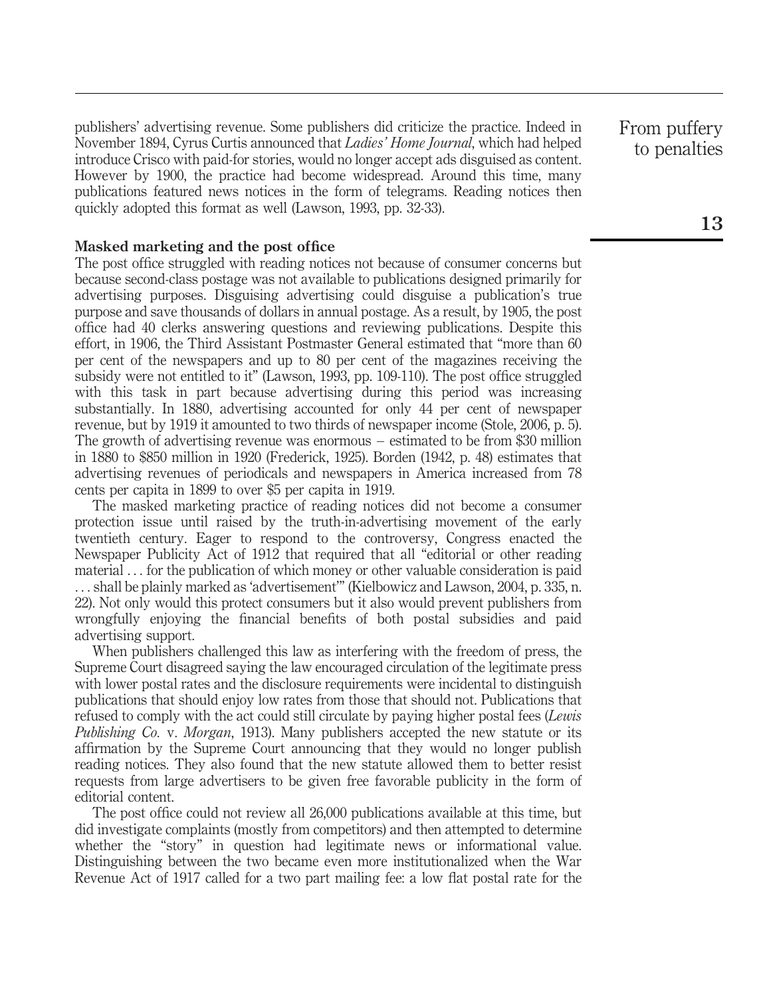publishers' advertising revenue. Some publishers did criticize the practice. Indeed in November 1894, Cyrus Curtis announced that Ladies' Home Journal, which had helped introduce Crisco with paid-for stories, would no longer accept ads disguised as content. However by 1900, the practice had become widespread. Around this time, many publications featured news notices in the form of telegrams. Reading notices then quickly adopted this format as well (Lawson, 1993, pp. 32-33).

#### Masked marketing and the post office

The post office struggled with reading notices not because of consumer concerns but because second-class postage was not available to publications designed primarily for advertising purposes. Disguising advertising could disguise a publication's true purpose and save thousands of dollars in annual postage. As a result, by 1905, the post office had 40 clerks answering questions and reviewing publications. Despite this effort, in 1906, the Third Assistant Postmaster General estimated that "more than 60 per cent of the newspapers and up to 80 per cent of the magazines receiving the subsidy were not entitled to it" (Lawson, 1993, pp. 109-110). The post office struggled with this task in part because advertising during this period was increasing substantially. In 1880, advertising accounted for only 44 per cent of newspaper revenue, but by 1919 it amounted to two thirds of newspaper income (Stole, 2006, p. 5). The growth of advertising revenue was enormous – estimated to be from \$30 million in 1880 to \$850 million in 1920 (Frederick, 1925). Borden (1942, p. 48) estimates that advertising revenues of periodicals and newspapers in America increased from 78 cents per capita in 1899 to over \$5 per capita in 1919.

The masked marketing practice of reading notices did not become a consumer protection issue until raised by the truth-in-advertising movement of the early twentieth century. Eager to respond to the controversy, Congress enacted the Newspaper Publicity Act of 1912 that required that all "editorial or other reading material ... for the publication of which money or other valuable consideration is paid ... shall be plainly marked as 'advertisement'" (Kielbowicz and Lawson, 2004, p. 335, n. 22). Not only would this protect consumers but it also would prevent publishers from wrongfully enjoying the financial benefits of both postal subsidies and paid advertising support.

When publishers challenged this law as interfering with the freedom of press, the Supreme Court disagreed saying the law encouraged circulation of the legitimate press with lower postal rates and the disclosure requirements were incidental to distinguish publications that should enjoy low rates from those that should not. Publications that refused to comply with the act could still circulate by paying higher postal fees (Lewis Publishing Co. v. Morgan, 1913). Many publishers accepted the new statute or its affirmation by the Supreme Court announcing that they would no longer publish reading notices. They also found that the new statute allowed them to better resist requests from large advertisers to be given free favorable publicity in the form of editorial content.

The post office could not review all 26,000 publications available at this time, but did investigate complaints (mostly from competitors) and then attempted to determine whether the "story" in question had legitimate news or informational value. Distinguishing between the two became even more institutionalized when the War Revenue Act of 1917 called for a two part mailing fee: a low flat postal rate for the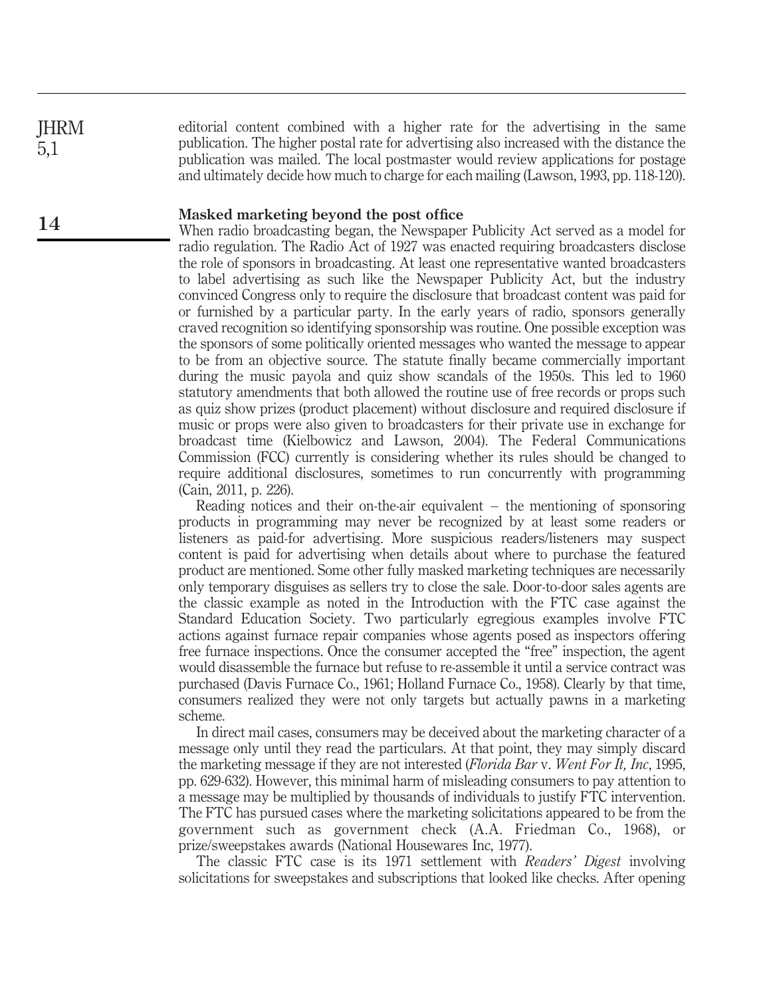JHRM 5,1

editorial content combined with a higher rate for the advertising in the same publication. The higher postal rate for advertising also increased with the distance the publication was mailed. The local postmaster would review applications for postage and ultimately decide how much to charge for each mailing (Lawson, 1993, pp. 118-120).

#### Masked marketing beyond the post office

When radio broadcasting began, the Newspaper Publicity Act served as a model for radio regulation. The Radio Act of 1927 was enacted requiring broadcasters disclose the role of sponsors in broadcasting. At least one representative wanted broadcasters to label advertising as such like the Newspaper Publicity Act, but the industry convinced Congress only to require the disclosure that broadcast content was paid for or furnished by a particular party. In the early years of radio, sponsors generally craved recognition so identifying sponsorship was routine. One possible exception was the sponsors of some politically oriented messages who wanted the message to appear to be from an objective source. The statute finally became commercially important during the music payola and quiz show scandals of the 1950s. This led to 1960 statutory amendments that both allowed the routine use of free records or props such as quiz show prizes (product placement) without disclosure and required disclosure if music or props were also given to broadcasters for their private use in exchange for broadcast time (Kielbowicz and Lawson, 2004). The Federal Communications Commission (FCC) currently is considering whether its rules should be changed to require additional disclosures, sometimes to run concurrently with programming (Cain, 2011, p. 226).

Reading notices and their on-the-air equivalent – the mentioning of sponsoring products in programming may never be recognized by at least some readers or listeners as paid-for advertising. More suspicious readers/listeners may suspect content is paid for advertising when details about where to purchase the featured product are mentioned. Some other fully masked marketing techniques are necessarily only temporary disguises as sellers try to close the sale. Door-to-door sales agents are the classic example as noted in the Introduction with the FTC case against the Standard Education Society. Two particularly egregious examples involve FTC actions against furnace repair companies whose agents posed as inspectors offering free furnace inspections. Once the consumer accepted the "free" inspection, the agent would disassemble the furnace but refuse to re-assemble it until a service contract was purchased (Davis Furnace Co., 1961; Holland Furnace Co., 1958). Clearly by that time, consumers realized they were not only targets but actually pawns in a marketing scheme.

In direct mail cases, consumers may be deceived about the marketing character of a message only until they read the particulars. At that point, they may simply discard the marketing message if they are not interested (Florida Bar v. Went For It, Inc, 1995, pp. 629-632). However, this minimal harm of misleading consumers to pay attention to a message may be multiplied by thousands of individuals to justify FTC intervention. The FTC has pursued cases where the marketing solicitations appeared to be from the government such as government check (A.A. Friedman Co., 1968), or prize/sweepstakes awards (National Housewares Inc, 1977).

The classic FTC case is its 1971 settlement with Readers' Digest involving solicitations for sweepstakes and subscriptions that looked like checks. After opening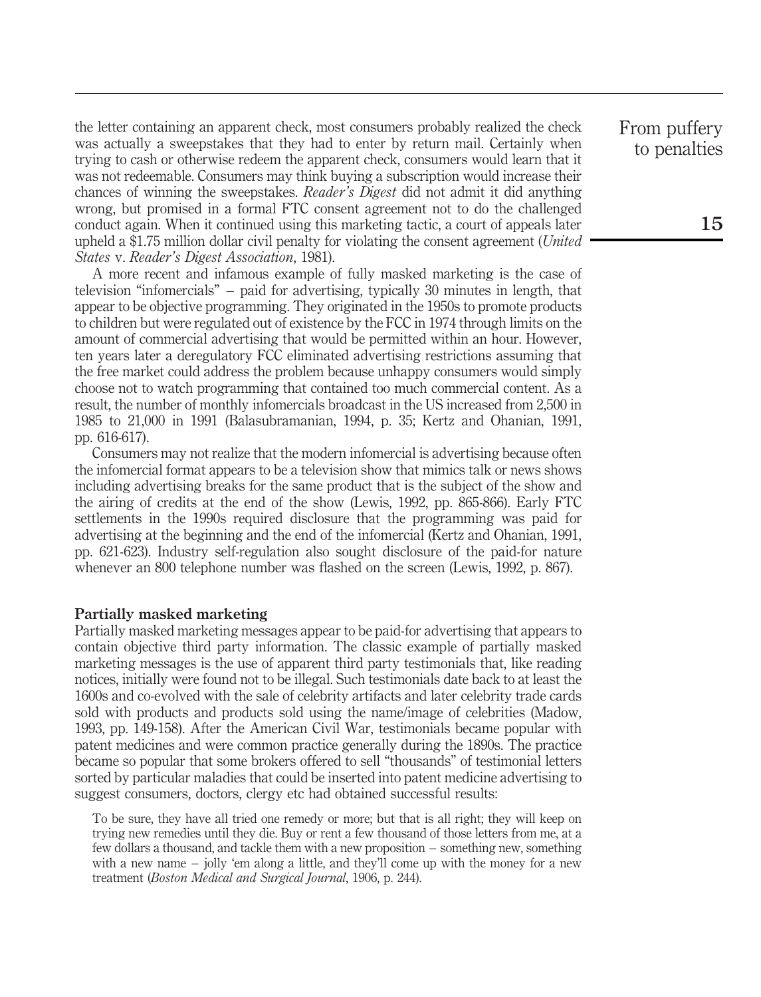the letter containing an apparent check, most consumers probably realized the check was actually a sweepstakes that they had to enter by return mail. Certainly when trying to cash or otherwise redeem the apparent check, consumers would learn that it was not redeemable. Consumers may think buying a subscription would increase their chances of winning the sweepstakes. Reader's Digest did not admit it did anything wrong, but promised in a formal FTC consent agreement not to do the challenged conduct again. When it continued using this marketing tactic, a court of appeals later upheld a \$1.75 million dollar civil penalty for violating the consent agreement (United States v. Reader's Digest Association, 1981).

A more recent and infamous example of fully masked marketing is the case of television "infomercials" – paid for advertising, typically 30 minutes in length, that appear to be objective programming. They originated in the 1950s to promote products to children but were regulated out of existence by the FCC in 1974 through limits on the amount of commercial advertising that would be permitted within an hour. However, ten years later a deregulatory FCC eliminated advertising restrictions assuming that the free market could address the problem because unhappy consumers would simply choose not to watch programming that contained too much commercial content. As a result, the number of monthly infomercials broadcast in the US increased from 2,500 in 1985 to 21,000 in 1991 (Balasubramanian, 1994, p. 35; Kertz and Ohanian, 1991, pp. 616-617).

Consumers may not realize that the modern infomercial is advertising because often the infomercial format appears to be a television show that mimics talk or news shows including advertising breaks for the same product that is the subject of the show and the airing of credits at the end of the show (Lewis, 1992, pp. 865-866). Early FTC settlements in the 1990s required disclosure that the programming was paid for advertising at the beginning and the end of the infomercial (Kertz and Ohanian, 1991, pp. 621-623). Industry self-regulation also sought disclosure of the paid-for nature whenever an 800 telephone number was flashed on the screen (Lewis, 1992, p. 867).

#### Partially masked marketing

Partially masked marketing messages appear to be paid-for advertising that appears to contain objective third party information. The classic example of partially masked marketing messages is the use of apparent third party testimonials that, like reading notices, initially were found not to be illegal. Such testimonials date back to at least the 1600s and co-evolved with the sale of celebrity artifacts and later celebrity trade cards sold with products and products sold using the name/image of celebrities (Madow, 1993, pp. 149-158). After the American Civil War, testimonials became popular with patent medicines and were common practice generally during the 1890s. The practice became so popular that some brokers offered to sell "thousands" of testimonial letters sorted by particular maladies that could be inserted into patent medicine advertising to suggest consumers, doctors, clergy etc had obtained successful results:

To be sure, they have all tried one remedy or more; but that is all right; they will keep on trying new remedies until they die. Buy or rent a few thousand of those letters from me, at a few dollars a thousand, and tackle them with a new proposition – something new, something with a new name – jolly 'em along a little, and they'll come up with the money for a new treatment (Boston Medical and Surgical Journal, 1906, p. 244).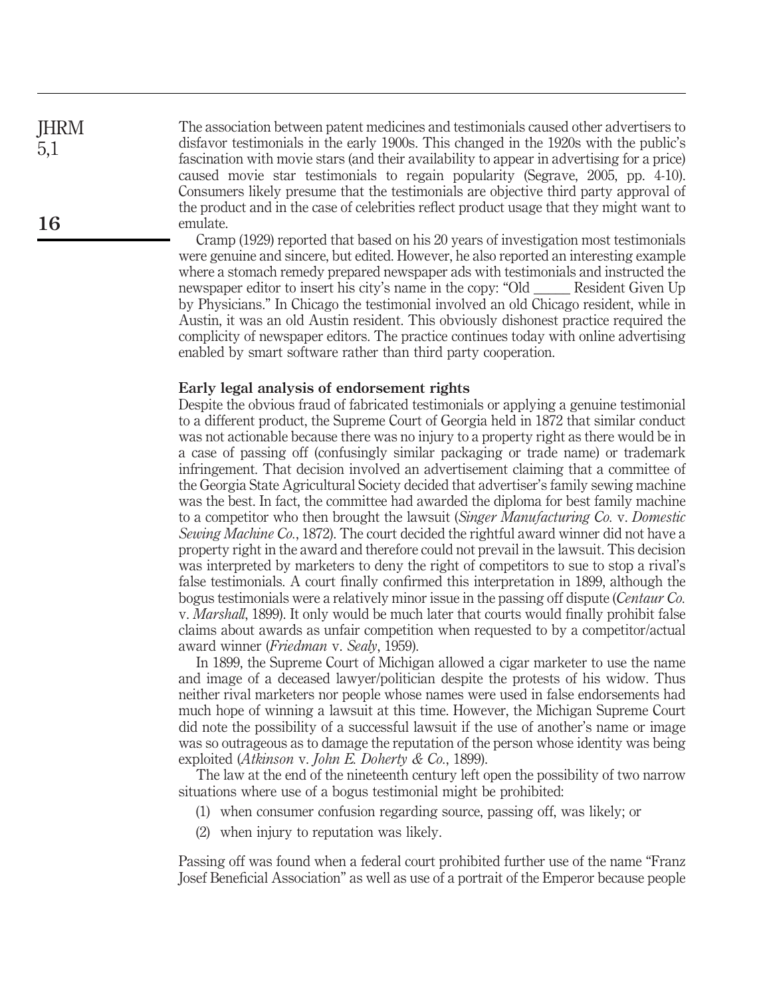The association between patent medicines and testimonials caused other advertisers to disfavor testimonials in the early 1900s. This changed in the 1920s with the public's fascination with movie stars (and their availability to appear in advertising for a price) caused movie star testimonials to regain popularity (Segrave, 2005, pp. 4-10). Consumers likely presume that the testimonials are objective third party approval of the product and in the case of celebrities reflect product usage that they might want to emulate.

Cramp (1929) reported that based on his 20 years of investigation most testimonials were genuine and sincere, but edited. However, he also reported an interesting example where a stomach remedy prepared newspaper ads with testimonials and instructed the newspaper editor to insert his city's name in the copy: "Old \_\_\_\_\_ Resident Given Up by Physicians." In Chicago the testimonial involved an old Chicago resident, while in Austin, it was an old Austin resident. This obviously dishonest practice required the complicity of newspaper editors. The practice continues today with online advertising enabled by smart software rather than third party cooperation.

#### Early legal analysis of endorsement rights

Despite the obvious fraud of fabricated testimonials or applying a genuine testimonial to a different product, the Supreme Court of Georgia held in 1872 that similar conduct was not actionable because there was no injury to a property right as there would be in a case of passing off (confusingly similar packaging or trade name) or trademark infringement. That decision involved an advertisement claiming that a committee of the Georgia State Agricultural Society decided that advertiser's family sewing machine was the best. In fact, the committee had awarded the diploma for best family machine to a competitor who then brought the lawsuit (Singer Manufacturing Co. v. Domestic Sewing Machine Co., 1872). The court decided the rightful award winner did not have a property right in the award and therefore could not prevail in the lawsuit. This decision was interpreted by marketers to deny the right of competitors to sue to stop a rival's false testimonials. A court finally confirmed this interpretation in 1899, although the bogus testimonials were a relatively minor issue in the passing off dispute (Centaur Co. v. Marshall, 1899). It only would be much later that courts would finally prohibit false claims about awards as unfair competition when requested to by a competitor/actual award winner (Friedman v. Sealy, 1959).

In 1899, the Supreme Court of Michigan allowed a cigar marketer to use the name and image of a deceased lawyer/politician despite the protests of his widow. Thus neither rival marketers nor people whose names were used in false endorsements had much hope of winning a lawsuit at this time. However, the Michigan Supreme Court did note the possibility of a successful lawsuit if the use of another's name or image was so outrageous as to damage the reputation of the person whose identity was being exploited (Atkinson v. John E. Doherty & Co., 1899).

The law at the end of the nineteenth century left open the possibility of two narrow situations where use of a bogus testimonial might be prohibited:

- (1) when consumer confusion regarding source, passing off, was likely; or
- (2) when injury to reputation was likely.

Passing off was found when a federal court prohibited further use of the name "Franz Josef Beneficial Association" as well as use of a portrait of the Emperor because people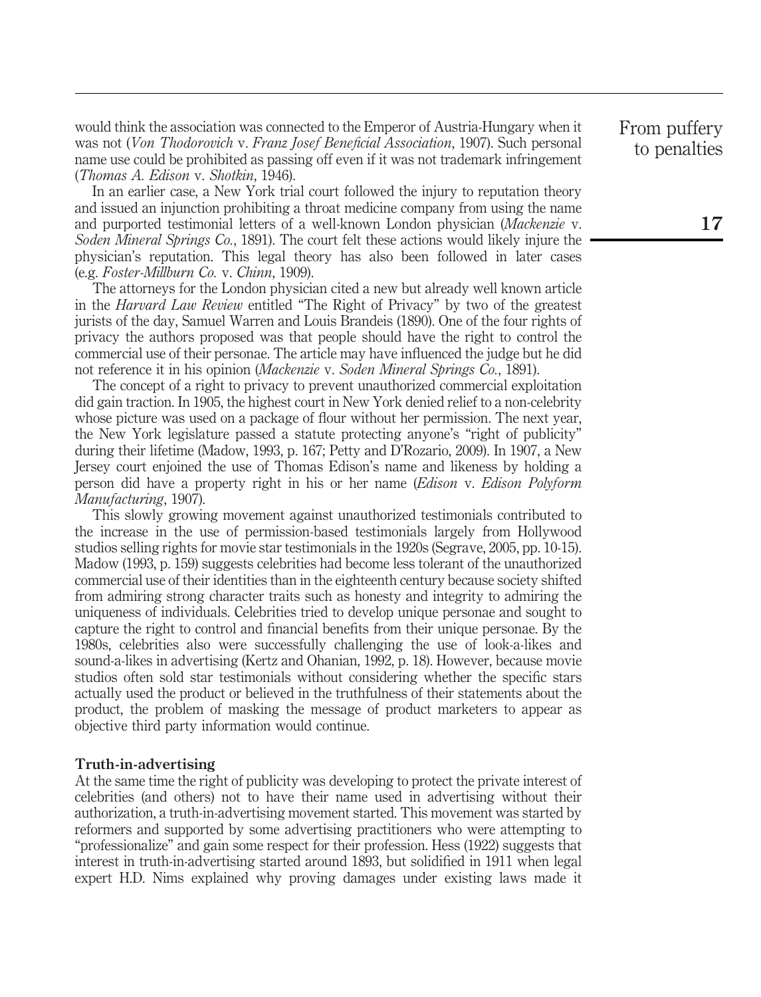would think the association was connected to the Emperor of Austria-Hungary when it was not *(Von Thodorovich v. Franz Josef Beneficial Association, 1907)*. Such personal name use could be prohibited as passing off even if it was not trademark infringement (Thomas A. Edison v. Shotkin, 1946).

In an earlier case, a New York trial court followed the injury to reputation theory and issued an injunction prohibiting a throat medicine company from using the name and purported testimonial letters of a well-known London physician (Mackenzie v. Soden Mineral Springs Co., 1891). The court felt these actions would likely injure the physician's reputation. This legal theory has also been followed in later cases (e.g. Foster-Millburn Co. v. Chinn, 1909).

The attorneys for the London physician cited a new but already well known article in the Harvard Law Review entitled "The Right of Privacy" by two of the greatest jurists of the day, Samuel Warren and Louis Brandeis (1890). One of the four rights of privacy the authors proposed was that people should have the right to control the commercial use of their personae. The article may have influenced the judge but he did not reference it in his opinion (Mackenzie v. Soden Mineral Springs Co., 1891).

The concept of a right to privacy to prevent unauthorized commercial exploitation did gain traction. In 1905, the highest court in New York denied relief to a non-celebrity whose picture was used on a package of flour without her permission. The next year, the New York legislature passed a statute protecting anyone's "right of publicity" during their lifetime (Madow, 1993, p. 167; Petty and D'Rozario, 2009). In 1907, a New Jersey court enjoined the use of Thomas Edison's name and likeness by holding a person did have a property right in his or her name (Edison v. Edison Polyform Manufacturing, 1907).

This slowly growing movement against unauthorized testimonials contributed to the increase in the use of permission-based testimonials largely from Hollywood studios selling rights for movie star testimonials in the 1920s (Segrave, 2005, pp. 10-15). Madow (1993, p. 159) suggests celebrities had become less tolerant of the unauthorized commercial use of their identities than in the eighteenth century because society shifted from admiring strong character traits such as honesty and integrity to admiring the uniqueness of individuals. Celebrities tried to develop unique personae and sought to capture the right to control and financial benefits from their unique personae. By the 1980s, celebrities also were successfully challenging the use of look-a-likes and sound-a-likes in advertising (Kertz and Ohanian, 1992, p. 18). However, because movie studios often sold star testimonials without considering whether the specific stars actually used the product or believed in the truthfulness of their statements about the product, the problem of masking the message of product marketers to appear as objective third party information would continue.

#### Truth-in-advertising

At the same time the right of publicity was developing to protect the private interest of celebrities (and others) not to have their name used in advertising without their authorization, a truth-in-advertising movement started. This movement was started by reformers and supported by some advertising practitioners who were attempting to "professionalize" and gain some respect for their profession. Hess (1922) suggests that interest in truth-in-advertising started around 1893, but solidified in 1911 when legal expert H.D. Nims explained why proving damages under existing laws made it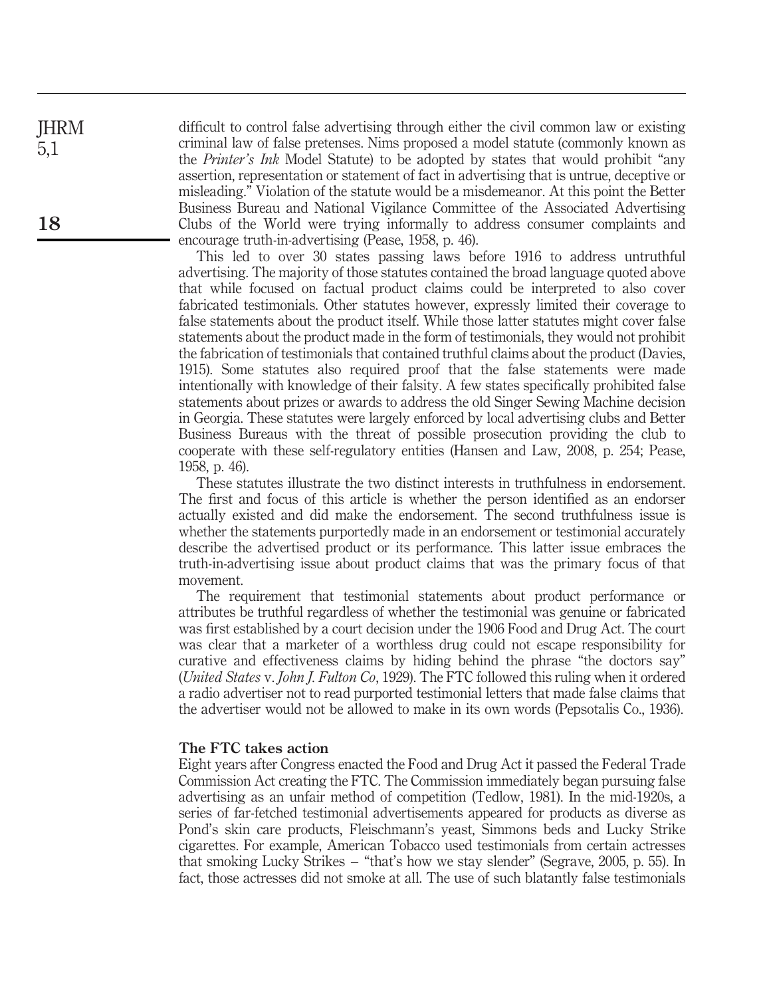difficult to control false advertising through either the civil common law or existing criminal law of false pretenses. Nims proposed a model statute (commonly known as the *Printer's Ink* Model Statute) to be adopted by states that would prohibit "any assertion, representation or statement of fact in advertising that is untrue, deceptive or misleading." Violation of the statute would be a misdemeanor. At this point the Better Business Bureau and National Vigilance Committee of the Associated Advertising Clubs of the World were trying informally to address consumer complaints and encourage truth-in-advertising (Pease, 1958, p. 46).

This led to over 30 states passing laws before 1916 to address untruthful advertising. The majority of those statutes contained the broad language quoted above that while focused on factual product claims could be interpreted to also cover fabricated testimonials. Other statutes however, expressly limited their coverage to false statements about the product itself. While those latter statutes might cover false statements about the product made in the form of testimonials, they would not prohibit the fabrication of testimonials that contained truthful claims about the product (Davies, 1915). Some statutes also required proof that the false statements were made intentionally with knowledge of their falsity. A few states specifically prohibited false statements about prizes or awards to address the old Singer Sewing Machine decision in Georgia. These statutes were largely enforced by local advertising clubs and Better Business Bureaus with the threat of possible prosecution providing the club to cooperate with these self-regulatory entities (Hansen and Law, 2008, p. 254; Pease, 1958, p. 46).

These statutes illustrate the two distinct interests in truthfulness in endorsement. The first and focus of this article is whether the person identified as an endorser actually existed and did make the endorsement. The second truthfulness issue is whether the statements purportedly made in an endorsement or testimonial accurately describe the advertised product or its performance. This latter issue embraces the truth-in-advertising issue about product claims that was the primary focus of that movement.

The requirement that testimonial statements about product performance or attributes be truthful regardless of whether the testimonial was genuine or fabricated was first established by a court decision under the 1906 Food and Drug Act. The court was clear that a marketer of a worthless drug could not escape responsibility for curative and effectiveness claims by hiding behind the phrase "the doctors say" (United States v. John J. Fulton Co, 1929). The FTC followed this ruling when it ordered a radio advertiser not to read purported testimonial letters that made false claims that the advertiser would not be allowed to make in its own words (Pepsotalis Co., 1936).

#### The FTC takes action

Eight years after Congress enacted the Food and Drug Act it passed the Federal Trade Commission Act creating the FTC. The Commission immediately began pursuing false advertising as an unfair method of competition (Tedlow, 1981). In the mid-1920s, a series of far-fetched testimonial advertisements appeared for products as diverse as Pond's skin care products, Fleischmann's yeast, Simmons beds and Lucky Strike cigarettes. For example, American Tobacco used testimonials from certain actresses that smoking Lucky Strikes – "that's how we stay slender" (Segrave, 2005, p. 55). In fact, those actresses did not smoke at all. The use of such blatantly false testimonials

**HRM** 5,1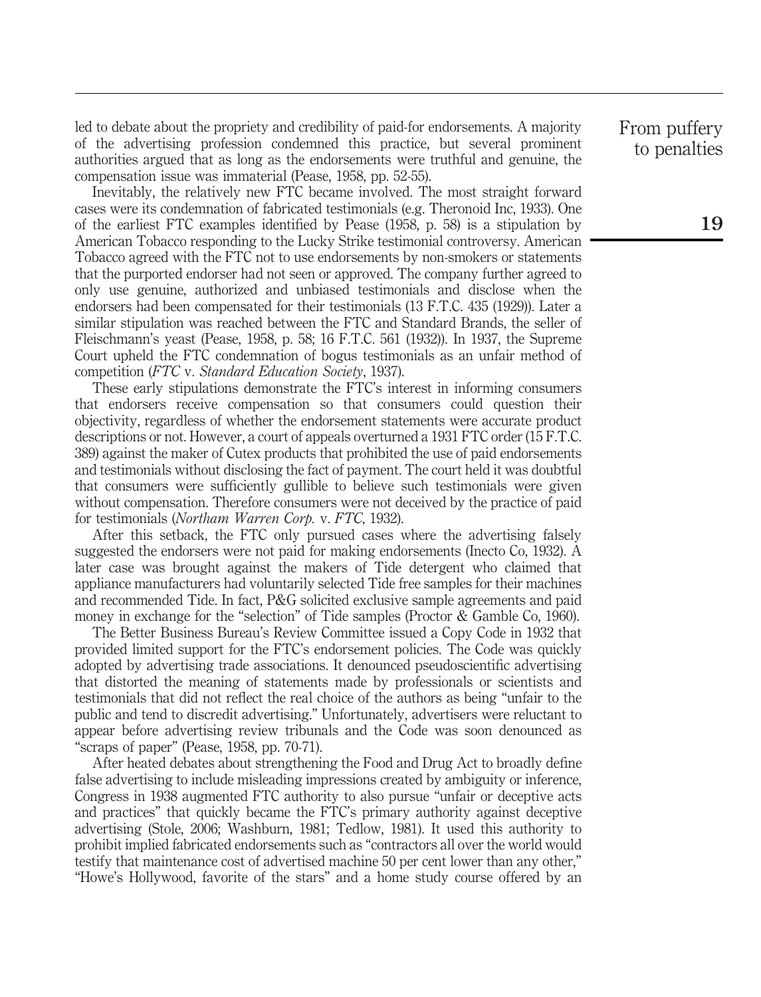led to debate about the propriety and credibility of paid-for endorsements. A majority of the advertising profession condemned this practice, but several prominent authorities argued that as long as the endorsements were truthful and genuine, the compensation issue was immaterial (Pease, 1958, pp. 52-55).

Inevitably, the relatively new FTC became involved. The most straight forward cases were its condemnation of fabricated testimonials (e.g. Theronoid Inc, 1933). One of the earliest FTC examples identified by Pease (1958, p. 58) is a stipulation by American Tobacco responding to the Lucky Strike testimonial controversy. American Tobacco agreed with the FTC not to use endorsements by non-smokers or statements that the purported endorser had not seen or approved. The company further agreed to only use genuine, authorized and unbiased testimonials and disclose when the endorsers had been compensated for their testimonials (13 F.T.C. 435 (1929)). Later a similar stipulation was reached between the FTC and Standard Brands, the seller of Fleischmann's yeast (Pease, 1958, p. 58; 16 F.T.C. 561 (1932)). In 1937, the Supreme Court upheld the FTC condemnation of bogus testimonials as an unfair method of competition (FTC v. Standard Education Society, 1937).

These early stipulations demonstrate the FTC's interest in informing consumers that endorsers receive compensation so that consumers could question their objectivity, regardless of whether the endorsement statements were accurate product descriptions or not. However, a court of appeals overturned a 1931 FTC order (15 F.T.C. 389) against the maker of Cutex products that prohibited the use of paid endorsements and testimonials without disclosing the fact of payment. The court held it was doubtful that consumers were sufficiently gullible to believe such testimonials were given without compensation. Therefore consumers were not deceived by the practice of paid for testimonials (Northam Warren Corp. v. FTC, 1932).

After this setback, the FTC only pursued cases where the advertising falsely suggested the endorsers were not paid for making endorsements (Inecto Co, 1932). A later case was brought against the makers of Tide detergent who claimed that appliance manufacturers had voluntarily selected Tide free samples for their machines and recommended Tide. In fact, P&G solicited exclusive sample agreements and paid money in exchange for the "selection" of Tide samples (Proctor & Gamble Co, 1960).

The Better Business Bureau's Review Committee issued a Copy Code in 1932 that provided limited support for the FTC's endorsement policies. The Code was quickly adopted by advertising trade associations. It denounced pseudoscientific advertising that distorted the meaning of statements made by professionals or scientists and testimonials that did not reflect the real choice of the authors as being "unfair to the public and tend to discredit advertising." Unfortunately, advertisers were reluctant to appear before advertising review tribunals and the Code was soon denounced as "scraps of paper" (Pease, 1958, pp. 70-71).

After heated debates about strengthening the Food and Drug Act to broadly define false advertising to include misleading impressions created by ambiguity or inference, Congress in 1938 augmented FTC authority to also pursue "unfair or deceptive acts and practices" that quickly became the FTC's primary authority against deceptive advertising (Stole, 2006; Washburn, 1981; Tedlow, 1981). It used this authority to prohibit implied fabricated endorsements such as "contractors all over the world would testify that maintenance cost of advertised machine 50 per cent lower than any other," "Howe's Hollywood, favorite of the stars" and a home study course offered by an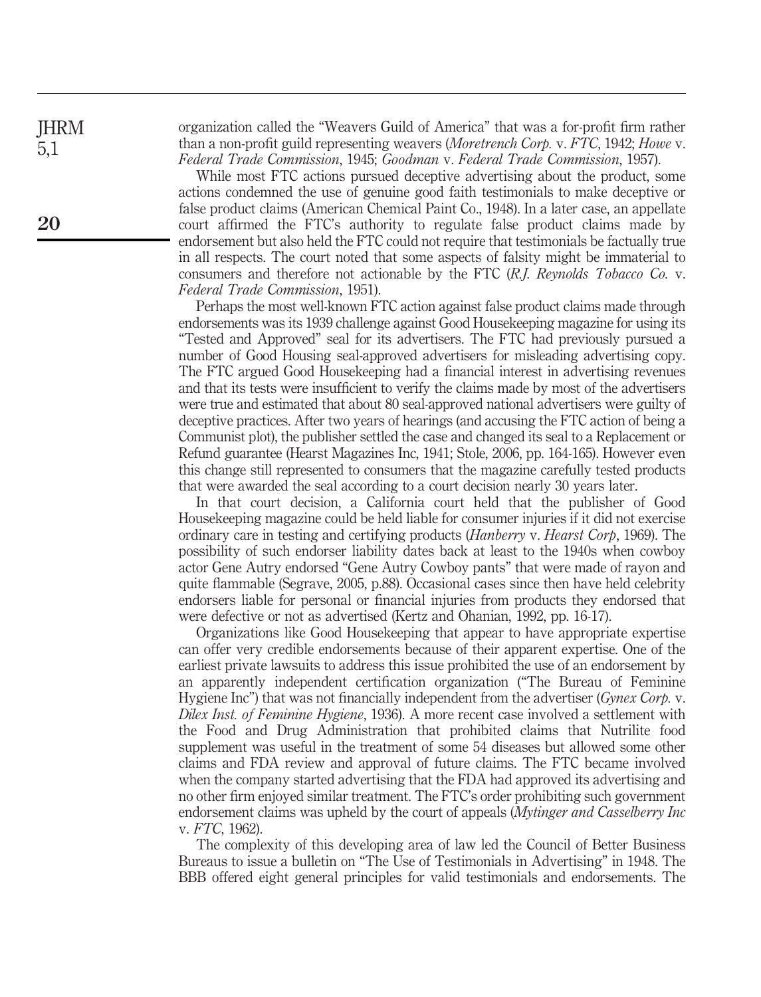organization called the "Weavers Guild of America" that was a for-profit firm rather than a non-profit guild representing weavers (Moretrench Corp. v. FTC, 1942; Howe v. Federal Trade Commission, 1945; Goodman v. Federal Trade Commission, 1957).

While most FTC actions pursued deceptive advertising about the product, some actions condemned the use of genuine good faith testimonials to make deceptive or false product claims (American Chemical Paint Co., 1948). In a later case, an appellate court affirmed the FTC's authority to regulate false product claims made by endorsement but also held the FTC could not require that testimonials be factually true in all respects. The court noted that some aspects of falsity might be immaterial to consumers and therefore not actionable by the FTC (R.J. Reynolds Tobacco Co. v. Federal Trade Commission, 1951).

Perhaps the most well-known FTC action against false product claims made through endorsements was its 1939 challenge against Good Housekeeping magazine for using its "Tested and Approved" seal for its advertisers. The FTC had previously pursued a number of Good Housing seal-approved advertisers for misleading advertising copy. The FTC argued Good Housekeeping had a financial interest in advertising revenues and that its tests were insufficient to verify the claims made by most of the advertisers were true and estimated that about 80 seal-approved national advertisers were guilty of deceptive practices. After two years of hearings (and accusing the FTC action of being a Communist plot), the publisher settled the case and changed its seal to a Replacement or Refund guarantee (Hearst Magazines Inc, 1941; Stole, 2006, pp. 164-165). However even this change still represented to consumers that the magazine carefully tested products that were awarded the seal according to a court decision nearly 30 years later.

In that court decision, a California court held that the publisher of Good Housekeeping magazine could be held liable for consumer injuries if it did not exercise ordinary care in testing and certifying products (Hanberry v. Hearst Corp, 1969). The possibility of such endorser liability dates back at least to the 1940s when cowboy actor Gene Autry endorsed "Gene Autry Cowboy pants" that were made of rayon and quite flammable (Segrave, 2005, p.88). Occasional cases since then have held celebrity endorsers liable for personal or financial injuries from products they endorsed that were defective or not as advertised (Kertz and Ohanian, 1992, pp. 16-17).

Organizations like Good Housekeeping that appear to have appropriate expertise can offer very credible endorsements because of their apparent expertise. One of the earliest private lawsuits to address this issue prohibited the use of an endorsement by an apparently independent certification organization ("The Bureau of Feminine Hygiene Inc") that was not financially independent from the advertiser (*Gynex Corp.* v. Dilex Inst. of Feminine Hygiene, 1936). A more recent case involved a settlement with the Food and Drug Administration that prohibited claims that Nutrilite food supplement was useful in the treatment of some 54 diseases but allowed some other claims and FDA review and approval of future claims. The FTC became involved when the company started advertising that the FDA had approved its advertising and no other firm enjoyed similar treatment. The FTC's order prohibiting such government endorsement claims was upheld by the court of appeals (Mytinger and Casselberry Inc v. FTC, 1962).

The complexity of this developing area of law led the Council of Better Business Bureaus to issue a bulletin on "The Use of Testimonials in Advertising" in 1948. The BBB offered eight general principles for valid testimonials and endorsements. The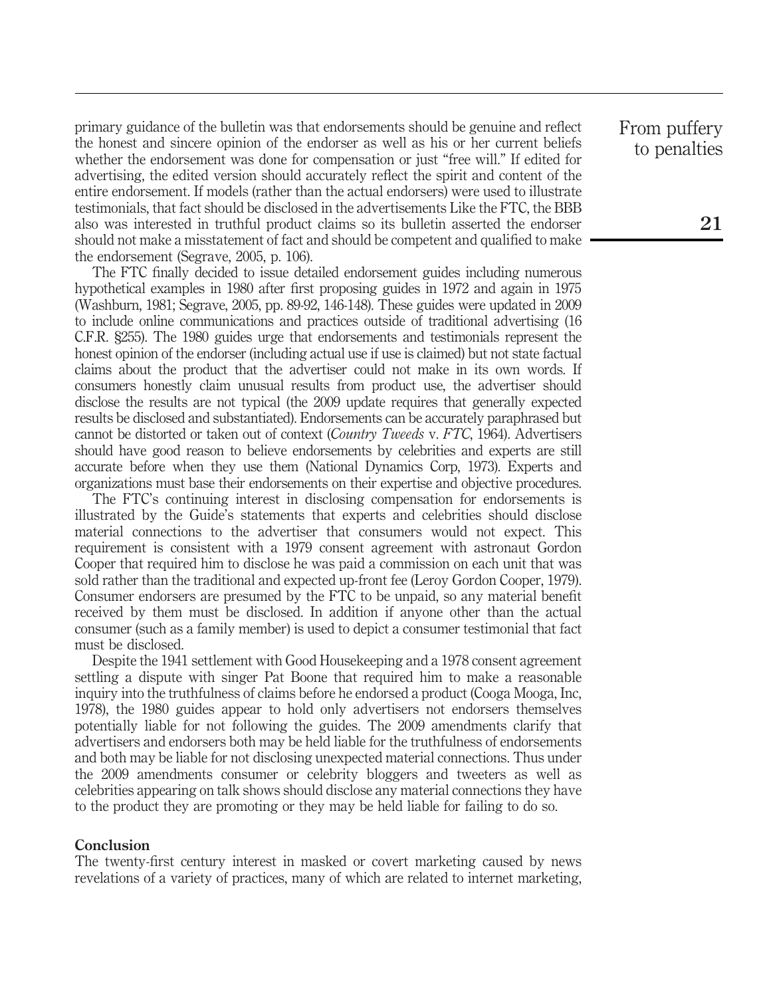primary guidance of the bulletin was that endorsements should be genuine and reflect the honest and sincere opinion of the endorser as well as his or her current beliefs whether the endorsement was done for compensation or just "free will." If edited for advertising, the edited version should accurately reflect the spirit and content of the entire endorsement. If models (rather than the actual endorsers) were used to illustrate testimonials, that fact should be disclosed in the advertisements Like the FTC, the BBB also was interested in truthful product claims so its bulletin asserted the endorser should not make a misstatement of fact and should be competent and qualified to make the endorsement (Segrave, 2005, p. 106).

The FTC finally decided to issue detailed endorsement guides including numerous hypothetical examples in 1980 after first proposing guides in 1972 and again in 1975 (Washburn, 1981; Segrave, 2005, pp. 89-92, 146-148). These guides were updated in 2009 to include online communications and practices outside of traditional advertising (16 C.F.R. §255). The 1980 guides urge that endorsements and testimonials represent the honest opinion of the endorser (including actual use if use is claimed) but not state factual claims about the product that the advertiser could not make in its own words. If consumers honestly claim unusual results from product use, the advertiser should disclose the results are not typical (the 2009 update requires that generally expected results be disclosed and substantiated). Endorsements can be accurately paraphrased but cannot be distorted or taken out of context (Country Tweeds v. FTC, 1964). Advertisers should have good reason to believe endorsements by celebrities and experts are still accurate before when they use them (National Dynamics Corp, 1973). Experts and organizations must base their endorsements on their expertise and objective procedures.

The FTC's continuing interest in disclosing compensation for endorsements is illustrated by the Guide's statements that experts and celebrities should disclose material connections to the advertiser that consumers would not expect. This requirement is consistent with a 1979 consent agreement with astronaut Gordon Cooper that required him to disclose he was paid a commission on each unit that was sold rather than the traditional and expected up-front fee (Leroy Gordon Cooper, 1979). Consumer endorsers are presumed by the FTC to be unpaid, so any material benefit received by them must be disclosed. In addition if anyone other than the actual consumer (such as a family member) is used to depict a consumer testimonial that fact must be disclosed.

Despite the 1941 settlement with Good Housekeeping and a 1978 consent agreement settling a dispute with singer Pat Boone that required him to make a reasonable inquiry into the truthfulness of claims before he endorsed a product (Cooga Mooga, Inc, 1978), the 1980 guides appear to hold only advertisers not endorsers themselves potentially liable for not following the guides. The 2009 amendments clarify that advertisers and endorsers both may be held liable for the truthfulness of endorsements and both may be liable for not disclosing unexpected material connections. Thus under the 2009 amendments consumer or celebrity bloggers and tweeters as well as celebrities appearing on talk shows should disclose any material connections they have to the product they are promoting or they may be held liable for failing to do so.

#### Conclusion

The twenty-first century interest in masked or covert marketing caused by news revelations of a variety of practices, many of which are related to internet marketing,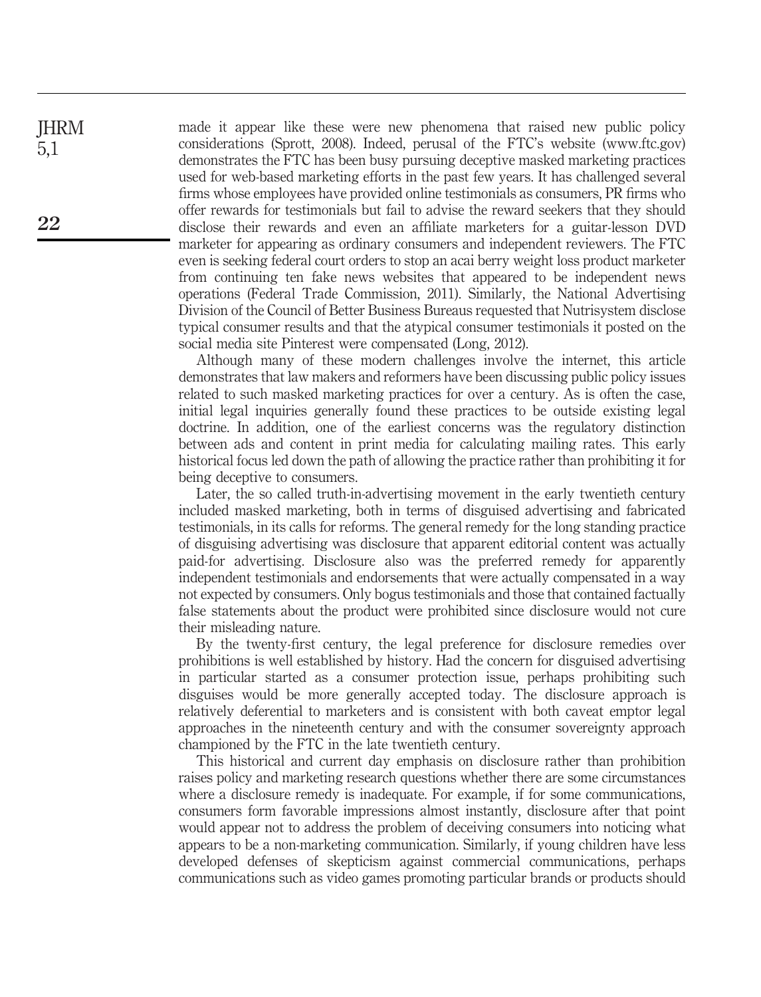made it appear like these were new phenomena that raised new public policy considerations (Sprott, 2008). Indeed, perusal of the FTC's website (www.ftc.gov) demonstrates the FTC has been busy pursuing deceptive masked marketing practices used for web-based marketing efforts in the past few years. It has challenged several firms whose employees have provided online testimonials as consumers, PR firms who offer rewards for testimonials but fail to advise the reward seekers that they should disclose their rewards and even an affiliate marketers for a guitar-lesson DVD marketer for appearing as ordinary consumers and independent reviewers. The FTC even is seeking federal court orders to stop an acai berry weight loss product marketer from continuing ten fake news websites that appeared to be independent news operations (Federal Trade Commission, 2011). Similarly, the National Advertising Division of the Council of Better Business Bureaus requested that Nutrisystem disclose typical consumer results and that the atypical consumer testimonials it posted on the social media site Pinterest were compensated (Long, 2012).

Although many of these modern challenges involve the internet, this article demonstrates that law makers and reformers have been discussing public policy issues related to such masked marketing practices for over a century. As is often the case, initial legal inquiries generally found these practices to be outside existing legal doctrine. In addition, one of the earliest concerns was the regulatory distinction between ads and content in print media for calculating mailing rates. This early historical focus led down the path of allowing the practice rather than prohibiting it for being deceptive to consumers.

Later, the so called truth-in-advertising movement in the early twentieth century included masked marketing, both in terms of disguised advertising and fabricated testimonials, in its calls for reforms. The general remedy for the long standing practice of disguising advertising was disclosure that apparent editorial content was actually paid-for advertising. Disclosure also was the preferred remedy for apparently independent testimonials and endorsements that were actually compensated in a way not expected by consumers. Only bogus testimonials and those that contained factually false statements about the product were prohibited since disclosure would not cure their misleading nature.

By the twenty-first century, the legal preference for disclosure remedies over prohibitions is well established by history. Had the concern for disguised advertising in particular started as a consumer protection issue, perhaps prohibiting such disguises would be more generally accepted today. The disclosure approach is relatively deferential to marketers and is consistent with both caveat emptor legal approaches in the nineteenth century and with the consumer sovereignty approach championed by the FTC in the late twentieth century.

This historical and current day emphasis on disclosure rather than prohibition raises policy and marketing research questions whether there are some circumstances where a disclosure remedy is inadequate. For example, if for some communications, consumers form favorable impressions almost instantly, disclosure after that point would appear not to address the problem of deceiving consumers into noticing what appears to be a non-marketing communication. Similarly, if young children have less developed defenses of skepticism against commercial communications, perhaps communications such as video games promoting particular brands or products should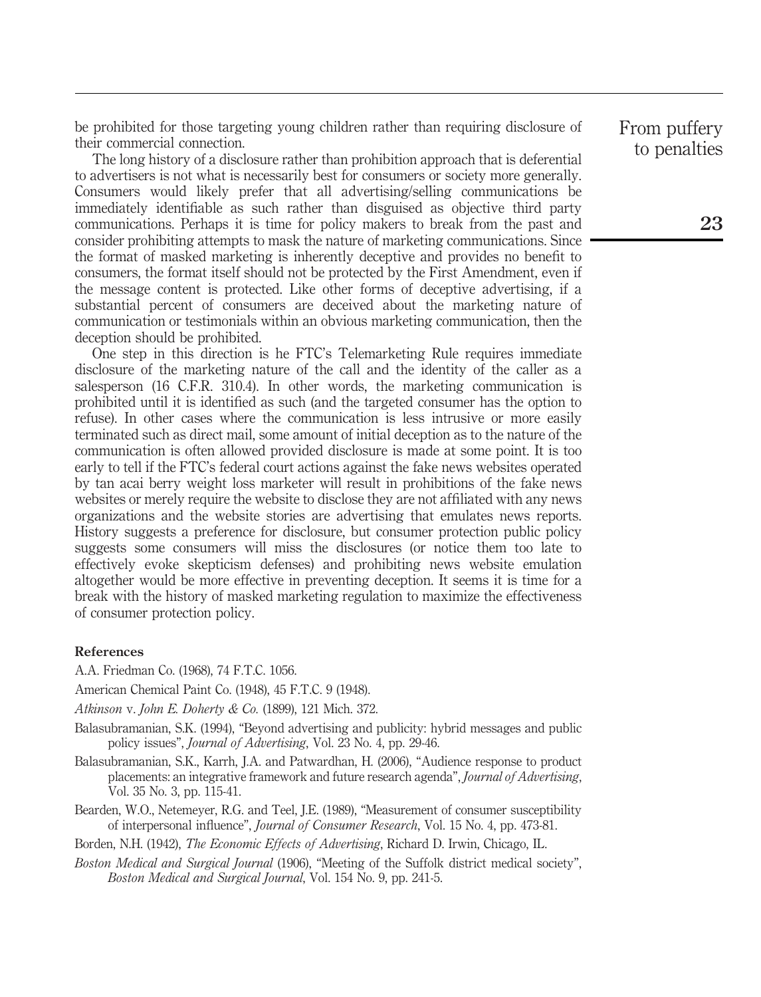be prohibited for those targeting young children rather than requiring disclosure of their commercial connection.

The long history of a disclosure rather than prohibition approach that is deferential to advertisers is not what is necessarily best for consumers or society more generally. Consumers would likely prefer that all advertising/selling communications be immediately identifiable as such rather than disguised as objective third party communications. Perhaps it is time for policy makers to break from the past and consider prohibiting attempts to mask the nature of marketing communications. Since the format of masked marketing is inherently deceptive and provides no benefit to consumers, the format itself should not be protected by the First Amendment, even if the message content is protected. Like other forms of deceptive advertising, if a substantial percent of consumers are deceived about the marketing nature of communication or testimonials within an obvious marketing communication, then the deception should be prohibited.

One step in this direction is he FTC's Telemarketing Rule requires immediate disclosure of the marketing nature of the call and the identity of the caller as a salesperson (16 C.F.R. 310.4). In other words, the marketing communication is prohibited until it is identified as such (and the targeted consumer has the option to refuse). In other cases where the communication is less intrusive or more easily terminated such as direct mail, some amount of initial deception as to the nature of the communication is often allowed provided disclosure is made at some point. It is too early to tell if the FTC's federal court actions against the fake news websites operated by tan acai berry weight loss marketer will result in prohibitions of the fake news websites or merely require the website to disclose they are not affiliated with any news organizations and the website stories are advertising that emulates news reports. History suggests a preference for disclosure, but consumer protection public policy suggests some consumers will miss the disclosures (or notice them too late to effectively evoke skepticism defenses) and prohibiting news website emulation altogether would be more effective in preventing deception. It seems it is time for a break with the history of masked marketing regulation to maximize the effectiveness of consumer protection policy.

#### References

A.A. Friedman Co. (1968), 74 F.T.C. 1056.

American Chemical Paint Co. (1948), 45 F.T.C. 9 (1948).

Atkinson v. John E. Doherty & Co. (1899), 121 Mich. 372.

- Balasubramanian, S.K. (1994), "Beyond advertising and publicity: hybrid messages and public policy issues", Journal of Advertising, Vol. 23 No. 4, pp. 29-46.
- Balasubramanian, S.K., Karrh, J.A. and Patwardhan, H. (2006), "Audience response to product placements: an integrative framework and future research agenda", Journal of Advertising, Vol. 35 No. 3, pp. 115-41.
- Bearden, W.O., Netemeyer, R.G. and Teel, J.E. (1989), "Measurement of consumer susceptibility of interpersonal influence", Journal of Consumer Research, Vol. 15 No. 4, pp. 473-81.

Borden, N.H. (1942), The Economic Effects of Advertising, Richard D. Irwin, Chicago, IL.

Boston Medical and Surgical Journal (1906), "Meeting of the Suffolk district medical society", Boston Medical and Surgical Journal, Vol. 154 No. 9, pp. 241-5.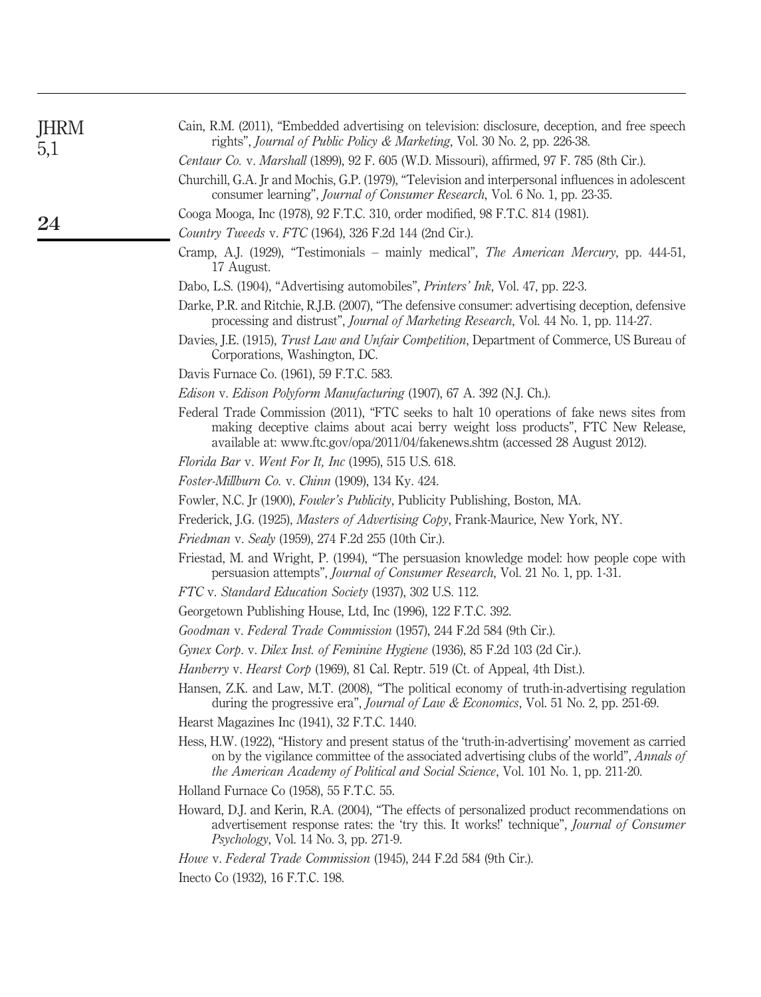| <b>HRM</b><br>5,1<br>24 | Cain, R.M. (2011), "Embedded advertising on television: disclosure, deception, and free speech<br>rights", Journal of Public Policy & Marketing, Vol. 30 No. 2, pp. 226-38.                                                                                                         |
|-------------------------|-------------------------------------------------------------------------------------------------------------------------------------------------------------------------------------------------------------------------------------------------------------------------------------|
|                         | Centaur Co. v. Marshall (1899), 92 F. 605 (W.D. Missouri), affirmed, 97 F. 785 (8th Cir.).                                                                                                                                                                                          |
|                         | Churchill, G.A. Jr and Mochis, G.P. (1979), "Television and interpersonal influences in adolescent<br>consumer learning", <i>Journal of Consumer Research</i> , Vol. 6 No. 1, pp. 23-35.                                                                                            |
|                         | Cooga Mooga, Inc (1978), 92 F.T.C. 310, order modified, 98 F.T.C. 814 (1981).                                                                                                                                                                                                       |
|                         | Country Tweeds v. FTC (1964), 326 F.2d 144 (2nd Cir.).                                                                                                                                                                                                                              |
|                         | Cramp, A.J. (1929), "Testimonials – mainly medical", <i>The American Mercury</i> , pp. 444-51,<br>17 August.                                                                                                                                                                        |
|                         | Dabo, L.S. (1904), "Advertising automobiles", Printers' Ink, Vol. 47, pp. 22-3.                                                                                                                                                                                                     |
|                         | Darke, P.R. and Ritchie, R.J.B. (2007), "The defensive consumer: advertising deception, defensive<br>processing and distrust", Journal of Marketing Research, Vol. 44 No. 1, pp. 114-27.                                                                                            |
|                         | Davies, J.E. (1915), Trust Law and Unfair Competition, Department of Commerce, US Bureau of<br>Corporations, Washington, DC.                                                                                                                                                        |
|                         | Davis Furnace Co. (1961), 59 F.T.C. 583.                                                                                                                                                                                                                                            |
|                         | <i>Edison v. Edison Polyform Manufacturing</i> (1907), 67 A. 392 (N.J. Ch.).                                                                                                                                                                                                        |
|                         | Federal Trade Commission (2011), "FTC seeks to halt 10 operations of fake news sites from<br>making deceptive claims about acai berry weight loss products", FTC New Release,<br>available at: www.ftc.gov/opa/2011/04/fakenews.shtm (accessed 28 August 2012).                     |
|                         | Florida Bar v. Went For It, Inc (1995), 515 U.S. 618.                                                                                                                                                                                                                               |
|                         | <i>Foster-Millburn Co. v. Chinn</i> (1909), 134 Ky. 424.                                                                                                                                                                                                                            |
|                         | Fowler, N.C. Jr (1900), Fowler's Publicity, Publicity Publishing, Boston, MA.                                                                                                                                                                                                       |
|                         | Frederick, J.G. (1925), Masters of Advertising Copy, Frank-Maurice, New York, NY.                                                                                                                                                                                                   |
|                         | Friedman v. Sealy (1959), 274 F.2d 255 (10th Cir.).                                                                                                                                                                                                                                 |
|                         | Friestad, M. and Wright, P. (1994), "The persuasion knowledge model: how people cope with<br>persuasion attempts", Journal of Consumer Research, Vol. 21 No. 1, pp. 1-31.                                                                                                           |
|                         | FTC v. Standard Education Society (1937), 302 U.S. 112.                                                                                                                                                                                                                             |
|                         | Georgetown Publishing House, Ltd, Inc (1996), 122 F.T.C. 392.                                                                                                                                                                                                                       |
|                         | Goodman v. Federal Trade Commission (1957), 244 F.2d 584 (9th Cir.).                                                                                                                                                                                                                |
|                         | Gynex Corp. v. Dilex Inst. of Feminine Hygiene (1936), 85 F.2d 103 (2d Cir.).                                                                                                                                                                                                       |
|                         | <i>Hanberry v. Hearst Corp</i> (1969), 81 Cal. Reptr. 519 (Ct. of Appeal, 4th Dist.).                                                                                                                                                                                               |
|                         | Hansen, Z.K. and Law, M.T. (2008), "The political economy of truth-in-advertising regulation<br>during the progressive era", <i>Journal of Law &amp; Economics</i> , Vol. 51 No. 2, pp. 251-69.                                                                                     |
|                         | Hearst Magazines Inc (1941), 32 F.T.C. 1440.                                                                                                                                                                                                                                        |
|                         | Hess, H.W. (1922), "History and present status of the 'truth-in-advertising' movement as carried<br>on by the vigilance committee of the associated advertising clubs of the world", Annals of<br>the American Academy of Political and Social Science, Vol. 101 No. 1, pp. 211-20. |
|                         | Holland Furnace Co (1958), 55 F.T.C. 55.                                                                                                                                                                                                                                            |
|                         | Howard, D.J. and Kerin, R.A. (2004), "The effects of personalized product recommendations on<br>advertisement response rates: the 'try this. It works!' technique", Journal of Consumer<br>Psychology, Vol. 14 No. 3, pp. 271-9.                                                    |
|                         | Howe v. Federal Trade Commission (1945), 244 F.2d 584 (9th Cir.).                                                                                                                                                                                                                   |
|                         | Inecto Co (1932), 16 F.T.C. 198.                                                                                                                                                                                                                                                    |
|                         |                                                                                                                                                                                                                                                                                     |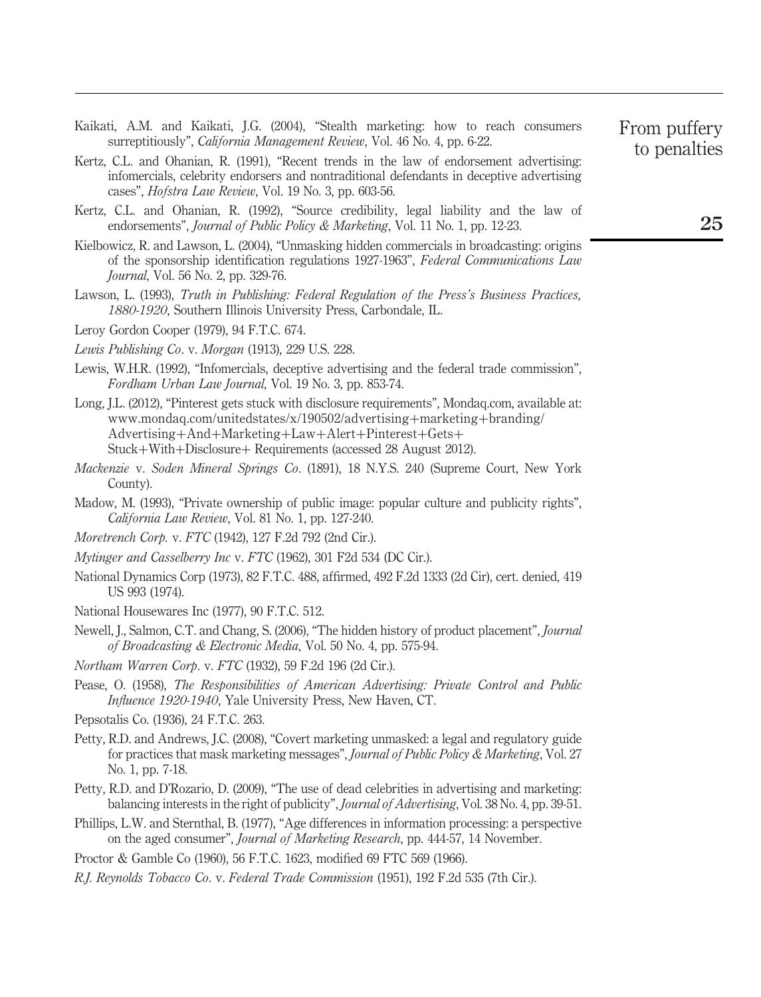- Kaikati, A.M. and Kaikati, J.G. (2004), "Stealth marketing: how to reach consumers surreptitiously", California Management Review, Vol. 46 No. 4, pp. 6-22.
- Kertz, C.L. and Ohanian, R. (1991), "Recent trends in the law of endorsement advertising: infomercials, celebrity endorsers and nontraditional defendants in deceptive advertising cases", Hofstra Law Review, Vol. 19 No. 3, pp. 603-56.
- Kertz, C.L. and Ohanian, R. (1992), "Source credibility, legal liability and the law of endorsements", *Journal of Public Policy & Marketing*, Vol. 11 No. 1, pp. 12-23.
- Kielbowicz, R. and Lawson, L. (2004), "Unmasking hidden commercials in broadcasting: origins of the sponsorship identification regulations 1927-1963", Federal Communications Law Journal, Vol. 56 No. 2, pp. 329-76.
- Lawson, L. (1993), Truth in Publishing: Federal Regulation of the Press's Business Practices, 1880-1920, Southern Illinois University Press, Carbondale, IL.
- Leroy Gordon Cooper (1979), 94 F.T.C. 674.
- Lewis Publishing Co. v. Morgan (1913), 229 U.S. 228.
- Lewis, W.H.R. (1992), "Infomercials, deceptive advertising and the federal trade commission", Fordham Urban Law Journal, Vol. 19 No. 3, pp. 853-74.
- Long, J.L. (2012), "Pinterest gets stuck with disclosure requirements", Mondaq.com, available at: www.mondaq.com/unitedstates/x/190502/advertising+marketing+branding/ Advertising+And+Marketing+Law+Alert+Pinterest+Gets+ Stuck+With+Disclosure+ Requirements (accessed 28 August 2012).
- Mackenzie v. Soden Mineral Springs Co. (1891), 18 N.Y.S. 240 (Supreme Court, New York County).
- Madow, M. (1993), "Private ownership of public image: popular culture and publicity rights", California Law Review, Vol. 81 No. 1, pp. 127-240.
- Moretrench Corp. v. FTC (1942), 127 F.2d 792 (2nd Cir.).
- Mytinger and Casselberry Inc v. FTC (1962), 301 F2d 534 (DC Cir.).
- National Dynamics Corp (1973), 82 F.T.C. 488, affirmed, 492 F.2d 1333 (2d Cir), cert. denied, 419 US 993 (1974).
- National Housewares Inc (1977), 90 F.T.C. 512.
- Newell, J., Salmon, C.T. and Chang, S. (2006), "The hidden history of product placement", Journal of Broadcasting & Electronic Media, Vol. 50 No. 4, pp. 575-94.
- Northam Warren Corp. v. FTC (1932), 59 F.2d 196 (2d Cir.).
- Pease, O. (1958), The Responsibilities of American Advertising: Private Control and Public Influence 1920-1940, Yale University Press, New Haven, CT.
- Pepsotalis Co. (1936), 24 F.T.C. 263.
- Petty, R.D. and Andrews, J.C. (2008), "Covert marketing unmasked: a legal and regulatory guide for practices that mask marketing messages", Journal of Public Policy & Marketing, Vol. 27 No. 1, pp. 7-18.
- Petty, R.D. and D'Rozario, D. (2009), "The use of dead celebrities in advertising and marketing: balancing interests in the right of publicity", Journal of Advertising, Vol. 38 No. 4, pp. 39-51.
- Phillips, L.W. and Sternthal, B. (1977), "Age differences in information processing: a perspective on the aged consumer", Journal of Marketing Research, pp. 444-57, 14 November.

Proctor & Gamble Co (1960), 56 F.T.C. 1623, modified 69 FTC 569 (1966).

R.J. Reynolds Tobacco Co. v. Federal Trade Commission (1951), 192 F.2d 535 (7th Cir.).